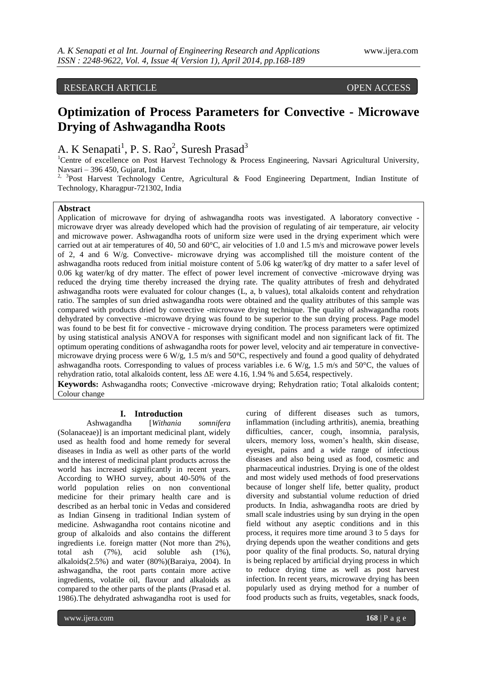# RESEARCH ARTICLE OPEN ACCESS

# **Optimization of Process Parameters for Convective - Microwave Drying of Ashwagandha Roots**

# A. K Senapati<sup>1</sup>, P. S. Rao<sup>2</sup>, Suresh Prasad<sup>3</sup>

<sup>1</sup>Centre of excellence on Post Harvest Technology & Process Engineering, Navsari Agricultural University, Navsari – 396 450, Gujarat, India

<sup>2, 3</sup>Post Harvest Technology Centre, Agricultural & Food Engineering Department, Indian Institute of Technology, Kharagpur-721302, India

#### **Abstract**

Application of microwave for drying of ashwagandha roots was investigated. A laboratory convective microwave dryer was already developed which had the provision of regulating of air temperature, air velocity and microwave power. Ashwagandha roots of uniform size were used in the drying experiment which were carried out at air temperatures of 40, 50 and 60°C, air velocities of 1.0 and 1.5 m/s and microwave power levels of 2, 4 and 6 W/g. Convective- microwave drying was accomplished till the moisture content of the ashwagandha roots reduced from initial moisture content of 5.06 kg water/kg of dry matter to a safer level of 0.06 kg water/kg of dry matter. The effect of power level increment of convective -microwave drying was reduced the drying time thereby increased the drying rate. The quality attributes of fresh and dehydrated ashwagandha roots were evaluated for colour changes (L, a, b values), total alkaloids content and rehydration ratio. The samples of sun dried ashwagandha roots were obtained and the quality attributes of this sample was compared with products dried by convective -microwave drying technique. The quality of ashwagandha roots dehydrated by convective -microwave drying was found to be superior to the sun drying process. Page model was found to be best fit for convective - microwave drying condition. The process parameters were optimized by using statistical analysis ANOVA for responses with significant model and non significant lack of fit. The optimum operating conditions of ashwagandha roots for power level, velocity and air temperature in convectivemicrowave drying process were 6 W/g, 1.5 m/s and 50°C, respectively and found a good quality of dehydrated ashwagandha roots. Corresponding to values of process variables i.e. 6 W/g, 1.5 m/s and 50°C, the values of rehydration ratio, total alkaloids content, less ΔE were 4.16, 1.94 % and 5.654, respectively.

**Keywords:** Ashwagandha roots; Convective -microwave drying; Rehydration ratio; Total alkaloids content; Colour change

#### **I. Introduction**

Ashwagandha [*Withania somnifera* (Solanaceae)] is an important medicinal plant, widely used as health food and home remedy for several diseases in India as well as other parts of the world and the interest of medicinal plant products across the world has increased significantly in recent years. According to WHO survey, about 40-50% of the world population relies on non conventional medicine for their primary health care and is described as an herbal tonic in Vedas and considered as Indian Ginseng in traditional Indian system of medicine. Ashwagandha root contains nicotine and group of alkaloids and also contains the different ingredients i.e. foreign matter (Not more than 2%), total ash (7%), acid soluble ash (1%), alkaloids(2.5%) and water (80%)(Baraiya, 2004). In ashwagandha, the root parts contain more active ingredients, volatile oil, flavour and alkaloids as compared to the other parts of the plants (Prasad et al. 1986).The dehydrated ashwagandha root is used for

curing of different diseases such as tumors, inflammation (including arthritis), anemia, breathing difficulties, cancer, cough, insomnia, paralysis, ulcers, memory loss, women's health, skin disease, eyesight, pains and a wide range of infectious diseases and also being used as food, cosmetic and pharmaceutical industries. Drying is one of the oldest and most widely used methods of food preservations because of longer shelf life, better quality, product diversity and substantial volume reduction of dried products. In India, ashwagandha roots are dried by small scale industries using by sun drying in the open field without any aseptic conditions and in this process, it requires more time around 3 to 5 days for drying depends upon the weather conditions and gets poor quality of the final products. So, natural drying is being replaced by artificial drying process in which to reduce drying time as well as post harvest infection. In recent years, microwave drying has been popularly used as drying method for a number of food products such as fruits, vegetables, snack foods,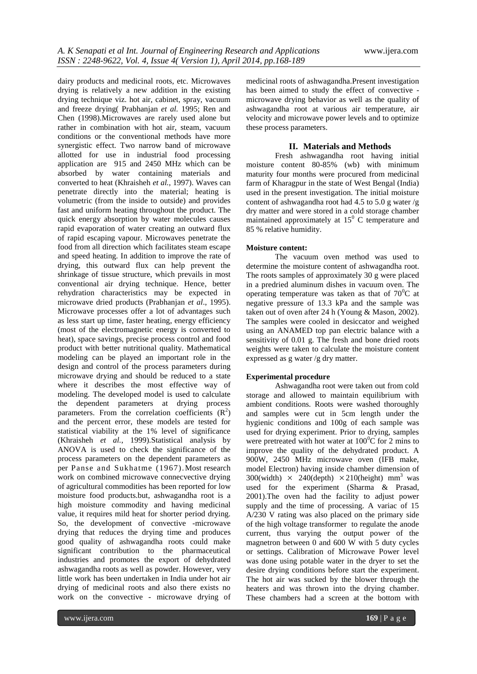dairy products and medicinal roots, etc. Microwaves drying is relatively a new addition in the existing drying technique viz. hot air, cabinet, spray, vacuum and freeze drying( Prabhanjan *et al.* 1995; Ren and Chen (1998).Microwaves are rarely used alone but rather in combination with hot air, steam, vacuum conditions or the conventional methods have more synergistic effect. Two narrow band of microwave allotted for use in industrial food processing application are 915 and 2450 MHz which can be absorbed by water containing materials and converted to heat (Khraisheh *et al.*, 1997). Waves can penetrate directly into the material; heating is volumetric (from the inside to outside) and provides fast and uniform heating throughout the product. The quick energy absorption by water molecules causes rapid evaporation of water creating an outward flux of rapid escaping vapour. Microwaves penetrate the food from all direction which facilitates steam escape and speed heating. In addition to improve the rate of drying, this outward flux can help prevent the shrinkage of tissue structure, which prevails in most conventional air drying technique. Hence, better rehydration characteristics may be expected in microwave dried products (Prabhanjan *et al*., 1995). Microwave processes offer a lot of advantages such as less start up time, faster heating, energy efficiency (most of the electromagnetic energy is converted to heat), space savings, precise process control and food product with better nutritional quality. Mathematical modeling can be played an important role in the design and control of the process parameters during microwave drying and should be reduced to a state where it describes the most effective way of modeling. The developed model is used to calculate the dependent parameters at drying process parameters. From the correlation coefficients  $(R^2)$ and the percent error, these models are tested for statistical viability at the 1% level of significance (Khraisheh *et al.*, 1999).Statistical analysis by ANOVA is used to check the significance of the process parameters on the dependent parameters as per Panse and Sukhatme (1967).Most research work on combined microwave connecvective drying of agricultural commodities has been reported for low moisture food products.but, ashwagandha root is a high moisture commodity and having medicinal value, it requires mild heat for shorter period drying. So, the development of convective -microwave drying that reduces the drying time and produces good quality of ashwagandha roots could make significant contribution to the pharmaceutical industries and promotes the export of dehydrated ashwagandha roots as well as powder. However, very little work has been undertaken in India under hot air drying of medicinal roots and also there exists no work on the convective - microwave drying of

medicinal roots of ashwagandha.Present investigation has been aimed to study the effect of convective microwave drying behavior as well as the quality of ashwagandha root at various air temperature, air velocity and microwave power levels and to optimize these process parameters.

#### **II. Materials and Methods**

Fresh ashwagandha root having initial moisture content 80-85% (wb) with minimum maturity four months were procured from medicinal farm of Kharagpur in the state of West Bengal (India) used in the present investigation. The initial moisture content of ashwagandha root had 4.5 to 5.0 g water /g dry matter and were stored in a cold storage chamber maintained approximately at  $15<sup>0</sup>$  C temperature and 85 % relative humidity.

#### **Moisture content:**

The vacuum oven method was used to determine the moisture content of ashwagandha root. The roots samples of approximately 30 g were placed in a predried aluminum dishes in vacuum oven. The operating temperature was taken as that of  $70^{\circ}$ C at negative pressure of 13.3 kPa and the sample was taken out of oven after 24 h (Young & Mason, 2002). The samples were cooled in desiccator and weighed using an ANAMED top pan electric balance with a sensitivity of 0.01 g. The fresh and bone dried roots weights were taken to calculate the moisture content expressed as g water /g dry matter.

#### **Experimental procedure**

Ashwagandha root were taken out from cold storage and allowed to maintain equilibrium with ambient conditions. Roots were washed thoroughly and samples were cut in 5cm length under the hygienic conditions and 100g of each sample was used for drying experiment. Prior to drying, samples were pretreated with hot water at  $100^{\circ}$ C for 2 mins to improve the quality of the dehydrated product. A 900W, 2450 MHz microwave oven (IFB make, model Electron) having inside chamber dimension of 300(width)  $\times$  240(depth)  $\times$  210(height) mm<sup>3</sup> was used for the experiment (Sharma & Prasad, 2001).The oven had the facility to adjust power supply and the time of processing. A variac of 15 A/230 V rating was also placed on the primary side of the high voltage transformer to regulate the anode current, thus varying the output power of the magnetron between 0 and 600 W with 5 duty cycles or settings. Calibration of Microwave Power level was done using potable water in the dryer to set the desire drying conditions before start the experiment. The hot air was sucked by the blower through the heaters and was thrown into the drying chamber. These chambers had a screen at the bottom with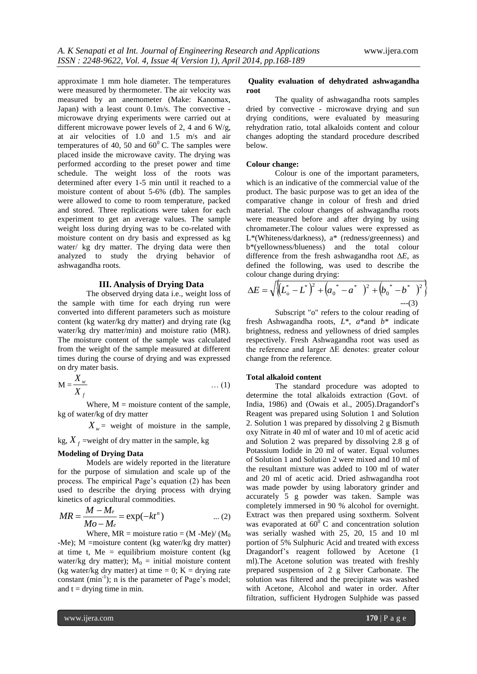approximate 1 mm hole diameter. The temperatures were measured by thermometer. The air velocity was measured by an anemometer (Make: Kanomax, Japan) with a least count 0.1m/s. The convective microwave drying experiments were carried out at different microwave power levels of 2, 4 and 6 W/g, at air velocities of 1.0 and 1.5 m/s and air temperatures of 40, 50 and  $60^{\circ}$  C. The samples were placed inside the microwave cavity. The drying was performed according to the preset power and time schedule. The weight loss of the roots was determined after every 1-5 min until it reached to a moisture content of about 5-6% (db). The samples were allowed to come to room temperature, packed and stored. Three replications were taken for each experiment to get an average values. The sample weight loss during drying was to be co-related with moisture content on dry basis and expressed as kg water/ kg dry matter. The drying data were then analyzed to study the drying behavior of ashwagandha roots. arginy with a teats contour through the convector of the convector of the convector of the convector of the content microwave drying experiments were carried out at different microwave of 40, 50 and 60°C. The samples were Ignal) with a least count  $\Omega$ , the convective-<br> $\frac{1}{N}$  consider the count of the South Channel Channel Channel Channel Channel Channel Channel Channel Channel Channel Channel Channel Channel Channel Channel Channel Cha are origins experiments were carred out at driving conditions, were considerated 1.0 and 1.5 miss and air changes adopting the state<br>twistical consideration of the complete proposary and  $\Delta t$  and  $\Delta t$  and  $\Delta t$  are the

#### **III. Analysis of Drying Data**

The observed drying data i.e., weight loss of the sample with time for each drying run were converted into different parameters such as moisture content (kg water/kg dry matter) and drying rate (kg water/kg dry matter/min) and moisture ratio (MR). The moisture content of the sample was calculated from the weight of the sample measured at different times during the course of drying and was expressed on dry mater basis.

$$
\mathbf{M} = \frac{X_w}{X_f} \tag{1}
$$

Where,  $M =$  moisture content of the sample, kg of water/kg of dry matter

 $X_w$  = weight of moisture in the sample,

 $kg, X_f$  =weight of dry matter in the sample, kg

#### **Modeling of Drying Data**

Models are widely reported in the literature for the purpose of simulation and scale up of the process. The empirical Page's equation (2) has been used to describe the drying process with drying

$$
MR = \frac{M - M_e}{Mo - Me} = \exp(-kt^n) \qquad \dots (2) \qquad \frac{1}{N}
$$

Where,  $MR = \text{moisture ratio} = (M - Me)/(M_0)$ -Me); M =moisture content (kg water/kg dry matter) at time t, Me = equilibrium moisture content ( $kg$ ) water/kg dry matter);  $M_0$  = initial moisture content (kg water/kg dry matter) at time  $= 0$ ; K = drying rate constant  $(min^{-1})$ ; n is the parameter of Page's model; and  $t =$  drying time in min.

#### **Quality evaluation of dehydrated ashwagandha root**

The quality of ashwagandha roots samples dried by convective - microwave drying and sun drying conditions, were evaluated by measuring rehydration ratio, total alkaloids content and colour changes adopting the standard procedure described below.

#### **Colour change:**

Colour is one of the important parameters, which is an indicative of the commercial value of the product. The basic purpose was to get an idea of the comparative change in colour of fresh and dried material. The colour changes of ashwagandha roots were measured before and after drying by using chromameter.The colour values were expressed as L\*(Whiteness/darkness), a\* (redness/greenness) and b\*(yellowness/blueness) and the total colour difference from the fresh ashwagandha root Δ*E*, as defined the following, was used to describe the colour change during drying:

$$
\Delta E = \sqrt{\left\{ L_o^* - L^* \right\}^2 + \left( a_0^* - a^* \right)^2 + \left( b_0^* - b^* \right)^2}
$$
  
---(3)

Subscript "o" refers to the colour reading of fresh Ashwagandha roots, *L*\*, *a*\*and *b*\* indicate brightness, redness and yellowness of dried samples respectively. Fresh Ashwagandha root was used as the reference and larger ΔE denotes: greater colour change from the reference.

#### **Total alkaloid content**

Now the measurement of the contents. direct particle is a content of the state of the measurement of the state of the state of the state of the state of the state of the state of the state of the state of the state of the The standard procedure was adopted to determine the total alkaloids extraction (Govt. of India, 1986) and (Owais et al., 2005).Dragandorf's Reagent was prepared using Solution 1 and Solution 2. Solution 1 was prepared by dissolving 2 g Bismuth oxy Nitrate in 40 ml of water and 10 ml of acetic acid and Solution 2 was prepared by dissolving 2.8 g of Potassium Iodide in 20 ml of water. Equal volumes of Solution 1 and Solution 2 were mixed and 10 ml of the resultant mixture was added to 100 ml of water and 20 ml of acetic acid. Dried ashwagandha root was made powder by using laboratory grinder and accurately 5 g powder was taken. Sample was completely immersed in 90 % alcohol for overnight. Extract was then prepared using soxtherm. Solvent was evaporated at  $60^{\circ}$  C and concentration solution was serially washed with 25, 20, 15 and 10 ml portion of 5% Sulphuric Acid and treated with excess Dragandorf's reagent followed by Acetone (1 ml).The Acetone solution was treated with freshly prepared suspension of 2 g Silver Carbonate. The solution was filtered and the precipitate was washed with Acetone, Alcohol and water in order. After filtration, sufficient Hydrogen Sulphide was passed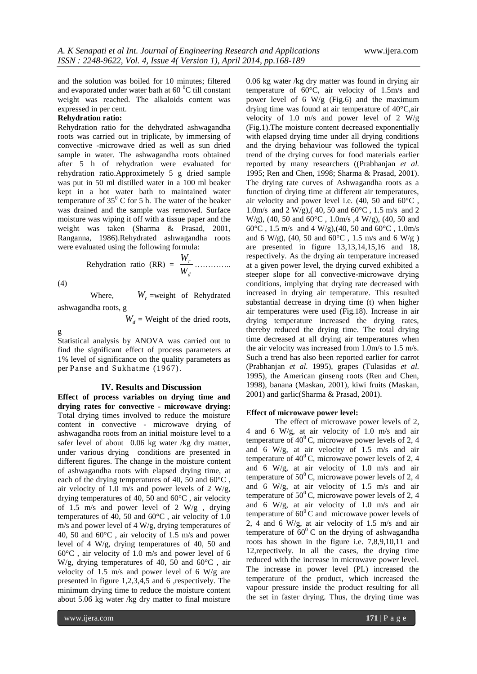and the solution was boiled for 10 minutes; filtered and evaporated under water bath at  $60<sup>0</sup>C$  till constant weight was reached. The alkaloids content was expressed in per cent.

### **Rehydration ratio:**

Rehydration ratio for the dehydrated ashwagandha roots was carried out in triplicate, by immersing of convective -microwave dried as well as sun dried sample in water. The ashwagandha roots obtained after 5 h of rehydration were evaluated for rehydration ratio.Approximetely 5 g dried sample was put in 50 ml distilled water in a 100 ml beaker kept in a hot water bath to maintained water temperature of  $35^{\circ}$  C for 5 h. The water of the beaker was drained and the sample was removed. Surface moisture was wiping it off with a tissue paper and the weight was taken (Sharma & Prasad, 2001, Ranganna, 1986).Rehydrated ashwagandha roots were evaluated using the following formula:

Rehydration ratio (RR) = 
$$
\frac{W_r}{W_d}
$$
............

(4)

 Where, *Wr* =weight of Rehydrated ashwagandha roots, g

 $W_d$  = Weight of the dried roots,

g

Statistical analysis by ANOVA was carried out to find the significant effect of process parameters at 1% level of significance on the quality parameters as per Panse and Sukhatme (1967).

#### **IV. Results and Discussion**

**Effect of process variables on drying time and drying rates for convective - microwave drying:** Total drying times involved to reduce the moisture content in convective - microwave drying of ashwagandha roots from an initial moisture level to a safer level of about 0.06 kg water /kg dry matter, under various drying conditions are presented in different figures. The change in the moisture content of ashwagandha roots with elapsed drying time, at each of the drying temperatures of 40, 50 and 60°C , air velocity of 1.0 m/s and power levels of 2 W/g, drying temperatures of 40, 50 and 60°C , air velocity of 1.5 m/s and power level of 2 W/g , drying temperatures of 40, 50 and 60°C , air velocity of 1.0 m/s and power level of 4 W/g, drying temperatures of 40, 50 and 60°C , air velocity of 1.5 m/s and power level of 4 W/g, drying temperatures of 40, 50 and 60°C , air velocity of 1.0 m/s and power level of 6 W/g, drying temperatures of 40, 50 and 60°C , air velocity of 1.5 m/s and power level of 6 W/g are presented in figure 1,2,3,4,5 and 6 ,respectively. The minimum drying time to reduce the moisture content about 5.06 kg water /kg dry matter to final moisture

0.06 kg water /kg dry matter was found in drying air temperature of 60°C, air velocity of 1.5m/s and power level of 6 W/g (Fig.6) and the maximum drying time was found at air temperature of 40°C,air velocity of 1.0 m/s and power level of 2 W/g (Fig.1).The moisture content decreased exponentially with elapsed drying time under all drying conditions and the drying behaviour was followed the typical trend of the drying curves for food materials earlier reported by many researchers ((Prabhanjan *et al.* 1995; Ren and Chen, 1998; Sharma & Prasad, 2001). The drying rate curves of Ashwagandha roots as a function of drying time at different air temperatures, air velocity and power level i.e. (40, 50 and 60°C , 1.0m/s and 2 W/g), (40, 50 and 60 $^{\circ}$ C, 1.5 m/s and 2 W/g), (40, 50 and 60°C , 1.0m/s ,4 W/g), (40, 50 and 60°C , 1.5 m/s and 4 W/g),(40, 50 and 60°C , 1.0m/s and 6 W/g), (40, 50 and 60 $^{\circ}$ C, 1.5 m/s and 6 W/g) are presented in figure 13,13,14,15,16 and 18, respectively. As the drying air temperature increased at a given power level, the drying curved exhibited a steeper slope for all convective-microwave drying conditions, implying that drying rate decreased with increased in drying air temperature. This resulted substantial decrease in drying time (t) when higher air temperatures were used (Fig.18). Increase in air drying temperature increased the drying rates, thereby reduced the drying time. The total drying time decreased at all drying air temperatures when the air velocity was increased from 1.0m/s to 1.5 m/s. Such a trend has also been reported earlier for carrot (Prabhanjan *et al.* 1995), grapes (Tulasidas *et al.* 1995), the American ginseng roots (Ren and Chen, 1998), banana (Maskan, 2001), kiwi fruits (Maskan, 2001) and garlic(Sharma & Prasad, 2001).

#### **Effect of microwave power level:**

The effect of microwave power levels of 2, 4 and 6 W/g, at air velocity of 1.0 m/s and air temperature of  $40^{\circ}$ C, microwave power levels of 2, 4 and 6 W/g, at air velocity of 1.5 m/s and air temperature of  $40^{\circ}$ C, microwave power levels of 2, 4 and 6 W/g, at air velocity of 1.0 m/s and air temperature of  $50^{\circ}$ C, microwave power levels of 2, 4 and 6 W/g, at air velocity of 1.5 m/s and air temperature of  $50^{\circ}$ C, microwave power levels of 2, 4 and 6 W/g, at air velocity of 1.0 m/s and air temperature of  $60^{\circ}$ C and microwave power levels of 2, 4 and 6 W/g, at air velocity of 1.5 m/s and air temperature of  $60^{\circ}$  C on the drying of ashwagandha roots has shown in the figure i.e. 7,8,9,10,11 and 12,repectively. In all the cases, the drying time reduced with the increase in microwave power level. The increase in power level (PL) increased the temperature of the product, which increased the vapour pressure inside the product resulting for all the set in faster drying. Thus, the drying time was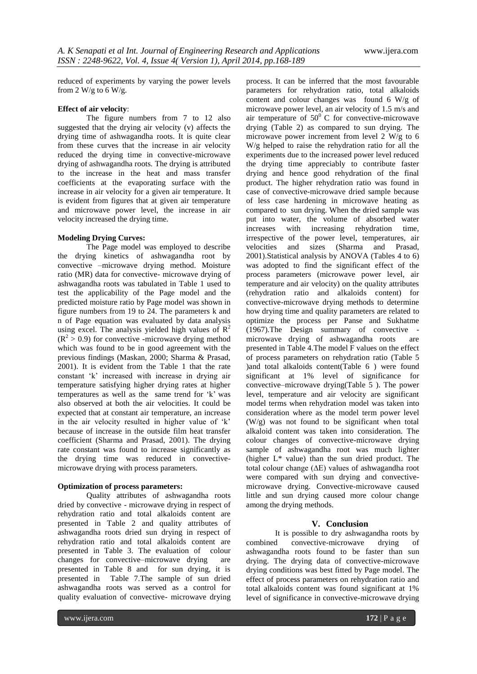reduced of experiments by varying the power levels from 2 W/g to 6 W/g.

#### **Effect of air velocity**:

The figure numbers from 7 to 12 also suggested that the drying air velocity (v) affects the drying time of ashwagandha roots. It is quite clear from these curves that the increase in air velocity reduced the drying time in convective-microwave drying of ashwagandha roots. The drying is attributed to the increase in the heat and mass transfer coefficients at the evaporating surface with the increase in air velocity for a given air temperature. It is evident from figures that at given air temperature and microwave power level, the increase in air velocity increased the drying time.

#### **Modeling Drying Curves:**

The Page model was employed to describe the drying kinetics of ashwagandha root by convective –microwave drying method. Moisture ratio (MR) data for convective- microwave drying of ashwagandha roots was tabulated in Table 1 used to test the applicability of the Page model and the predicted moisture ratio by Page model was shown in figure numbers from 19 to 24. The parameters k and n of Page equation was evaluated by data analysis using excel. The analysis yielded high values of  $\mathbb{R}^2$  $(R<sup>2</sup> > 0.9)$  for convective -microwave drying method which was found to be in good agreement with the previous findings (Maskan, 2000; Sharma & Prasad, 2001). It is evident from the Table 1 that the rate constant 'k' increased with increase in drying air temperature satisfying higher drying rates at higher temperatures as well as the same trend for 'k' was also observed at both the air velocities. It could be expected that at constant air temperature, an increase in the air velocity resulted in higher value of 'k' because of increase in the outside film heat transfer coefficient (Sharma and Prasad, 2001). The drying rate constant was found to increase significantly as the drying time was reduced in convectivemicrowave drying with process parameters.

#### **Optimization of process parameters:**

Quality attributes of ashwagandha roots dried by convective - microwave drying in respect of rehydration ratio and total alkaloids content are presented in Table 2 and quality attributes of ashwagandha roots dried sun drying in respect of rehydration ratio and total alkaloids content are presented in Table 3. The evaluation of colour changes for convective–microwave drying are presented in Table 8 and for sun drying, it is presented in Table 7.The sample of sun dried ashwagandha roots was served as a control for quality evaluation of convective- microwave drying parameters for rehydration ratio, total alkaloids content and colour changes was found 6 W/g of microwave power level, an air velocity of 1.5 m/s and air temperature of  $50^0$  C for convective-microwave drying (Table 2) as compared to sun drying. The microwave power increment from level  $2 \text{ W/g}$  to 6 W/g helped to raise the rehydration ratio for all the experiments due to the increased power level reduced the drying time appreciably to contribute faster drying and hence good rehydration of the final product. The higher rehydration ratio was found in case of convective-microwave dried sample because of less case hardening in microwave heating as compared to sun drying. When the dried sample was put into water, the volume of absorbed water increases with increasing rehydration time, irrespective of the power level, temperatures, air velocities and sizes (Sharma and Prasad, 2001).Statistical analysis by ANOVA (Tables 4 to 6) was adopted to find the significant effect of the process parameters (microwave power level, air temperature and air velocity) on the quality attributes (rehydration ratio and alkaloids content) for convective-microwave drying methods to determine how drying time and quality parameters are related to optimize the process per Panse and Sukhatme (1967).The Design summary of convective microwave drying of ashwagandha roots are presented in Table 4.The model F values on the effect of process parameters on rehydration ratio (Table 5 )and total alkaloids content(Table 6 ) were found significant at 1% level of significance for convective–microwave drying(Table 5 ). The power level, temperature and air velocity are significant model terms when rehydration model was taken into consideration where as the model term power level (W/g) was not found to be significant when total alkaloid content was taken into consideration. The colour changes of convective-microwave drying sample of ashwagandha root was much lighter (higher L\* value) than the sun dried product. The total colour change (∆E) values of ashwagandha root were compared with sun drying and convectivemicrowave drying. Convective-microwave caused little and sun drying caused more colour change among the drying methods.

process. It can be inferred that the most favourable

#### **V. Conclusion**

It is possible to dry ashwagandha roots by combined convective-microwave drying of ashwagandha roots found to be faster than sun drying. The drying data of convective-microwave drying conditions was best fitted by Page model. The effect of process parameters on rehydration ratio and total alkaloids content was found significant at 1% level of significance in convective-microwave drying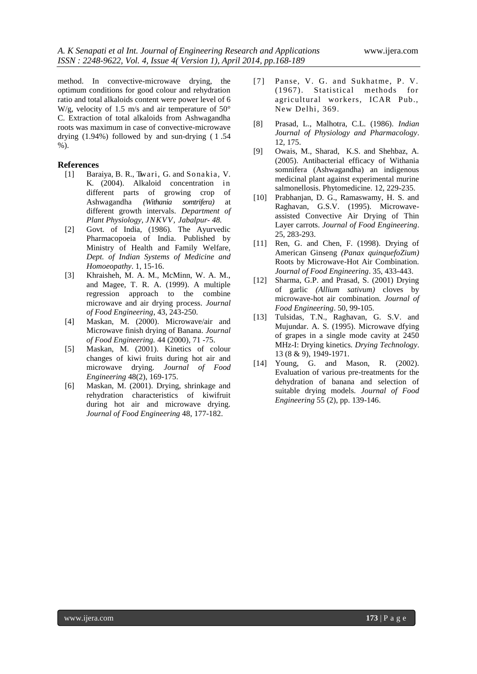method. In convective-microwave drying, the optimum conditions for good colour and rehydration ratio and total alkaloids content were power level of 6 W/g, velocity of 1.5 m/s and air temperature of 50° C. Extraction of total alkaloids from Ashwagandha roots was maximum in case of convective-microwave drying (1.94%) followed by and sun-drying ( 1 .54 %).

### **References**

- [1] Baraiya, B. R., Tiwari, G. and Sonakia, V. K. (2004). Alkaloid concentration in different parts of growing crop of Ashwagandha *(Withania somtrifera)* at different growth intervals. *Department of Plant Physiology, JNKVV, Jabalpur- 48.*
- [2] Govt. of India, (1986). The Ayurvedic Pharmacopoeia of India. Published by Ministry of Health and Family Welfare, *Dept. of Indian Systems of Medicine and Homoeopathy*. 1, 15-16.
- [3] Khraisheh, M. A. M., McMinn, W. A. M., and Magee, T. R. A. (1999). A multiple regression approach to the combine microwave and air drying process. *Journal of Food Engineering*, 43, 243-250.
- [4] Maskan, M. (2000). Microwave/air and Microwave finish drying of Banana. *Journal of Food Engineering.* 44 (2000), 71 -75.
- [5] Maskan, M. (2001). Kinetics of colour changes of kiwi fruits during hot air and microwave drying. *Journal of Food Engineering* 48(2), 169-175.
- [6] Maskan, M. (2001). Drying, shrinkage and rehydration characteristics of kiwifruit during hot air and microwave drying. *Journal of Food Engineering* 48, 177-182.
- [7] Panse, V. G. and Sukhatme, P. V. (1967). Statistical methods for agricultural workers, ICAR Pub., New Delhi, 369.
- [8] Prasad, L., Malhotra, C.L. (1986). *Indian Journal of Physiology and Pharmacology*. 12, 175.
- [9] Owais, M., Sharad, K.S. and Shehbaz, A. (2005). Antibacterial efficacy of Withania somnifera (Ashwagandha) an indigenous medicinal plant against experimental murine salmonellosis. Phytomedicine. 12, 229-235.
- [10] Prabhanjan, D. G., Ramaswamy, H. S. and Raghavan, G.S.V. (1995). Microwaveassisted Convective Air Drying of Thin Layer carrots. *Journal of Food Engineering*. 25, 283-293.
- [11] Ren, G. and Chen, F. (1998). Drying of American Ginseng *(Panax quinquefoZium)*  Roots by Microwave-Hot Air Combination. *Journal of Food Engineering*. 35, 433-443.
- [12] Sharma, G.P. and Prasad, S. (2001) Drying of garlic *(Allium sativum)* cloves by microwave-hot air combination*. Journal of Food Engineering*. 50, 99-105.
- [13] Tulsidas, T.N., Raghavan, G. S.V. and Mujundar. A. S. (1995). Microwave dfying of grapes in a single mode cavity at 2450 MHz-I: Drying kinetics*. Drying Technology*. 13 (8 & 9), 1949-1971.
- [14] Young, G. and Mason, R. (2002). Evaluation of various pre-treatments for the dehydration of banana and selection of suitable drying models. *Journal of Food Engineering* 55 (2), pp. 139-146.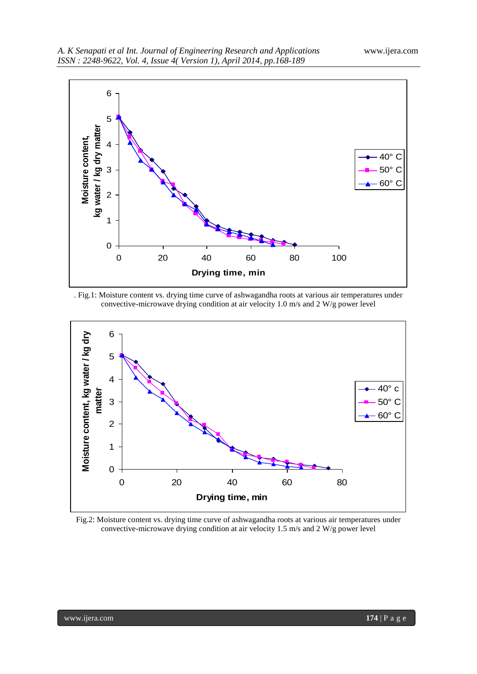

. Fig.1: Moisture content vs. drying time curve of ashwagandha roots at various air temperatures under convective-microwave drying condition at air velocity 1.0 m/s and 2 W/g power level



Fig.2: Moisture content vs. drying time curve of ashwagandha roots at various air temperatures under convective-microwave drying condition at air velocity 1.5 m/s and 2 W/g power level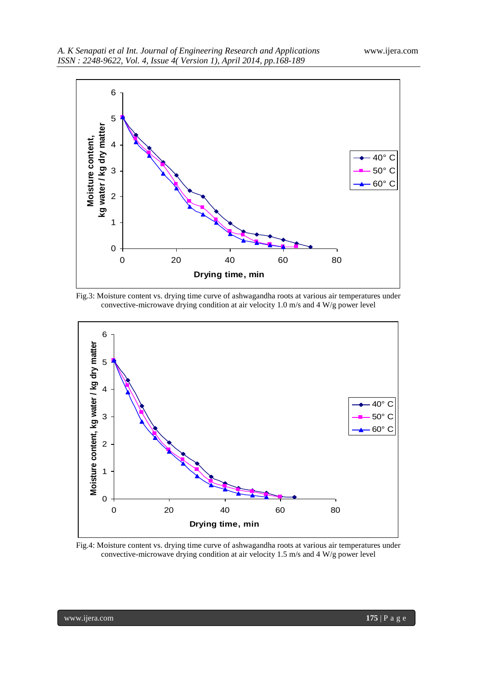





Fig.4: Moisture content vs. drying time curve of ashwagandha roots at various air temperatures under convective-microwave drying condition at air velocity 1.5 m/s and 4 W/g power level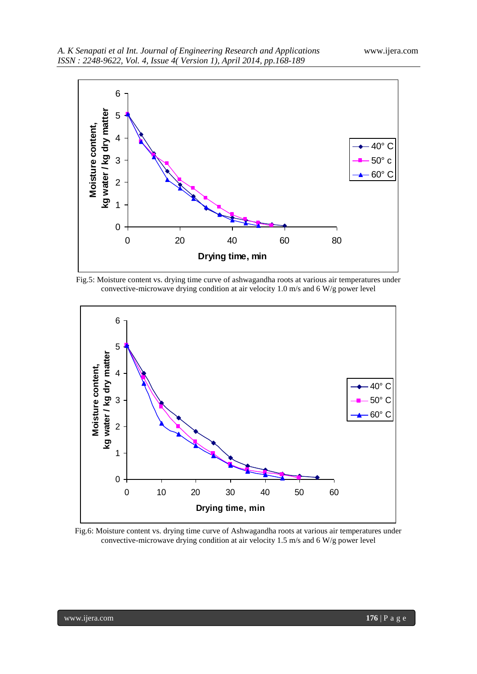

Fig.5: Moisture content vs. drying time curve of ashwagandha roots at various air temperatures under convective-microwave drying condition at air velocity 1.0 m/s and 6 W/g power level



Fig.6: Moisture content vs. drying time curve of Ashwagandha roots at various air temperatures under convective-microwave drying condition at air velocity 1.5 m/s and 6 W/g power level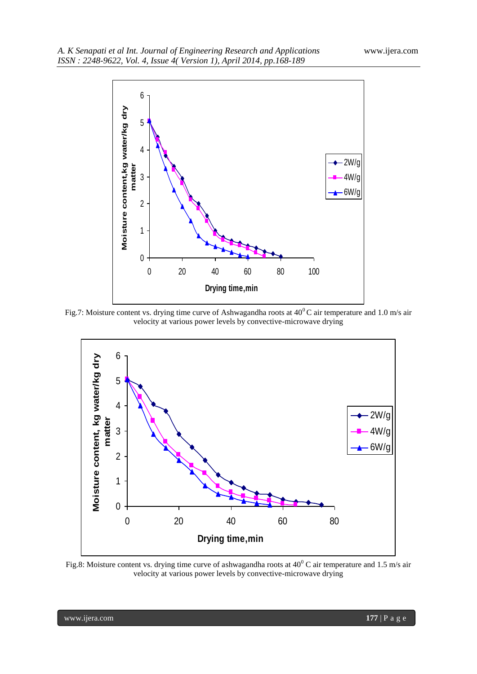

Fig.7: Moisture content vs. drying time curve of Ashwagandha roots at  $40^{\circ}$ C air temperature and 1.0 m/s air velocity at various power levels by convective-microwave drying



Fig.8: Moisture content vs. drying time curve of ashwagandha roots at  $40^{\circ}$ C air temperature and 1.5 m/s air velocity at various power levels by convective-microwave drying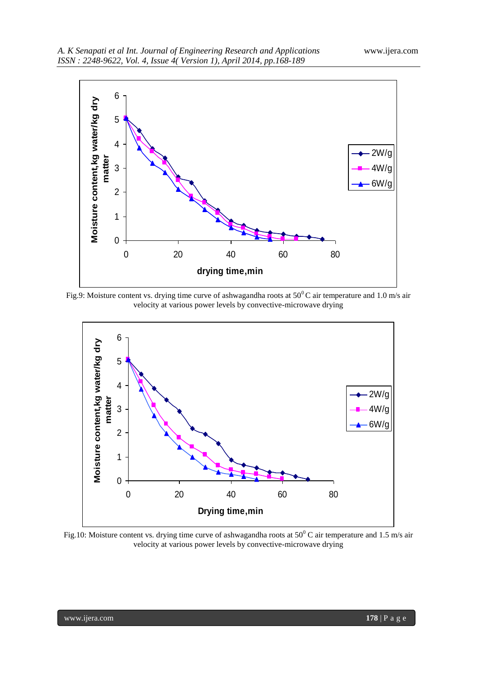

Fig.9: Moisture content vs. drying time curve of ashwagandha roots at  $50^{\circ}$ C air temperature and 1.0 m/s air velocity at various power levels by convective-microwave drying



Fig.10: Moisture content vs. drying time curve of ashwagandha roots at  $50^0$  C air temperature and 1.5 m/s air velocity at various power levels by convective-microwave drying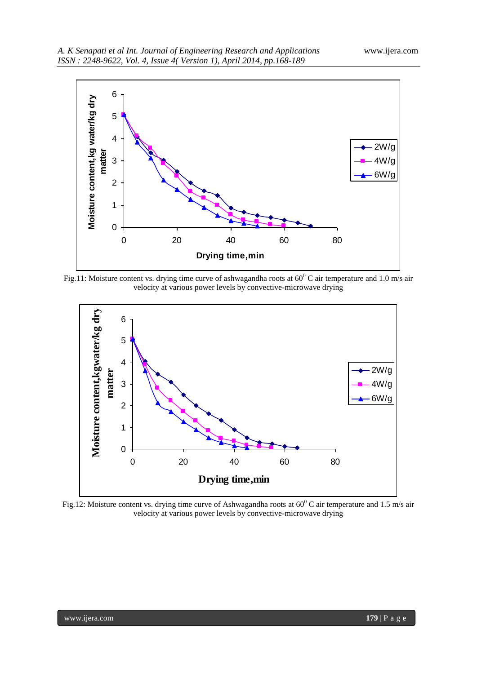

Fig.11: Moisture content vs. drying time curve of ashwagandha roots at  $60^{\circ}$ C air temperature and 1.0 m/s air velocity at various power levels by convective-microwave drying



Fig.12: Moisture content vs. drying time curve of Ashwagandha roots at  $60^{\circ}$ C air temperature and 1.5 m/s air velocity at various power levels by convective-microwave drying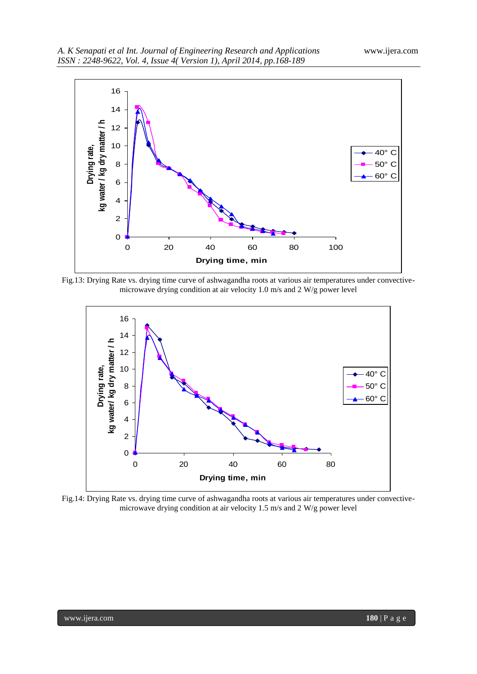

Fig.13: Drying Rate vs. drying time curve of ashwagandha roots at various air temperatures under convectivemicrowave drying condition at air velocity 1.0 m/s and 2 W/g power level



Fig.14: Drying Rate vs. drying time curve of ashwagandha roots at various air temperatures under convectivemicrowave drying condition at air velocity 1.5 m/s and 2 W/g power level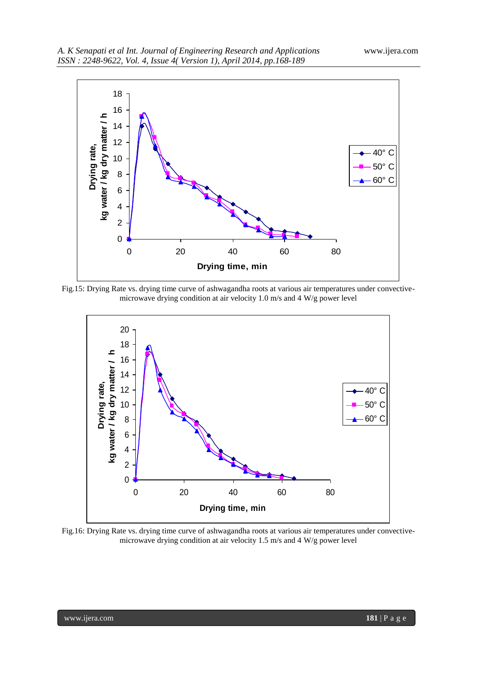

Fig.15: Drying Rate vs. drying time curve of ashwagandha roots at various air temperatures under convectivemicrowave drying condition at air velocity 1.0 m/s and 4 W/g power level



Fig.16: Drying Rate vs. drying time curve of ashwagandha roots at various air temperatures under convectivemicrowave drying condition at air velocity 1.5 m/s and 4 W/g power level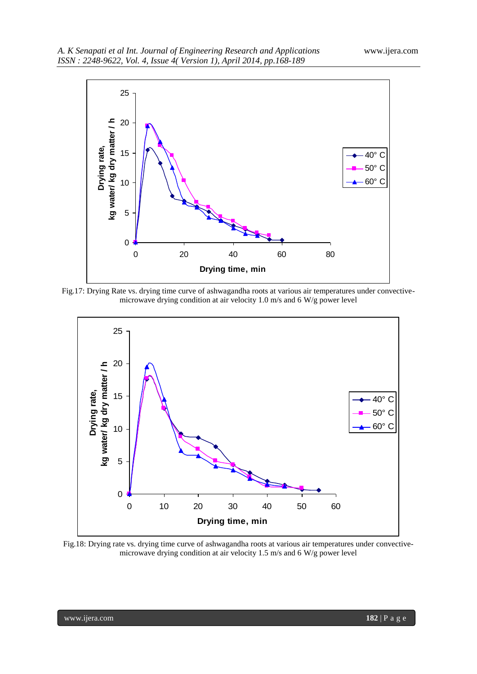

Fig.17: Drying Rate vs. drying time curve of ashwagandha roots at various air temperatures under convectivemicrowave drying condition at air velocity 1.0 m/s and 6 W/g power level



Fig.18: Drying rate vs. drying time curve of ashwagandha roots at various air temperatures under convectivemicrowave drying condition at air velocity 1.5 m/s and 6 W/g power level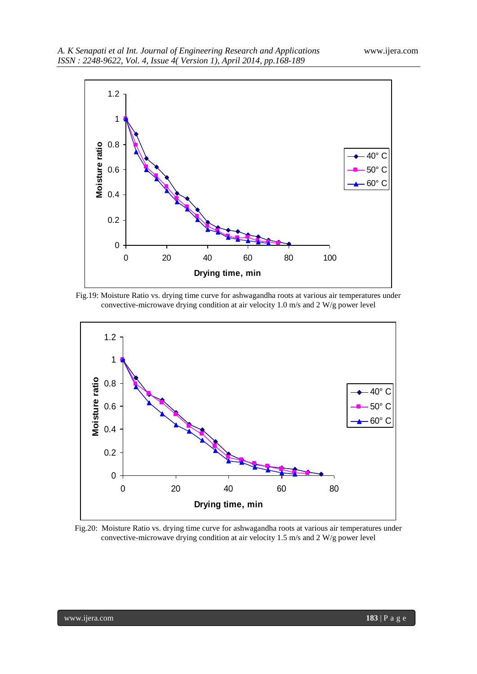

Fig.19: Moisture Ratio vs. drying time curve for ashwagandha roots at various air temperatures under convective-microwave drying condition at air velocity 1.0 m/s and 2 W/g power level



Fig.20: Moisture Ratio vs. drying time curve for ashwagandha roots at various air temperatures under convective-microwave drying condition at air velocity 1.5 m/s and 2 W/g power level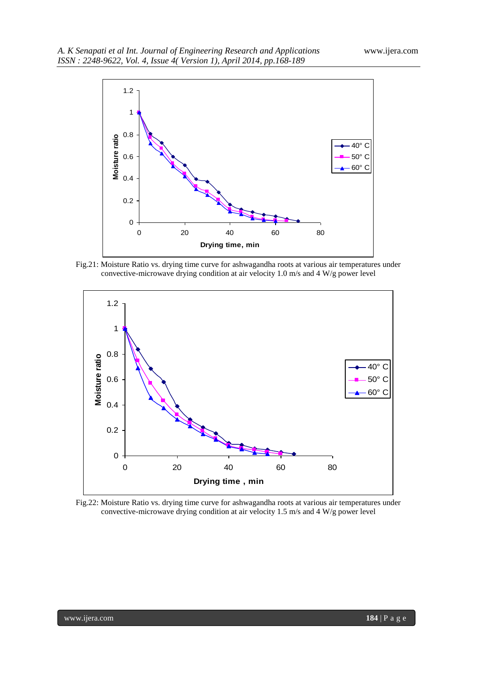

Fig.21: Moisture Ratio vs. drying time curve for ashwagandha roots at various air temperatures under convective-microwave drying condition at air velocity 1.0 m/s and 4 W/g power level



Fig.22: Moisture Ratio vs. drying time curve for ashwagandha roots at various air temperatures under convective-microwave drying condition at air velocity 1.5 m/s and 4 W/g power level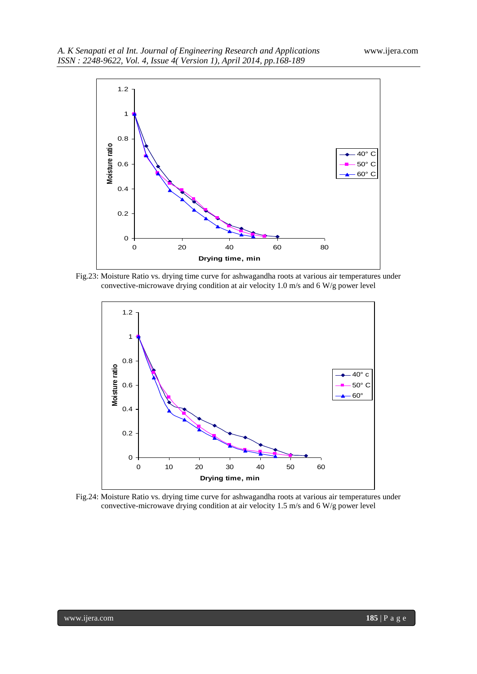

Fig.23: Moisture Ratio vs. drying time curve for ashwagandha roots at various air temperatures under convective-microwave drying condition at air velocity 1.0 m/s and 6 W/g power level



Fig.24: Moisture Ratio vs. drying time curve for ashwagandha roots at various air temperatures under convective-microwave drying condition at air velocity 1.5 m/s and 6 W/g power level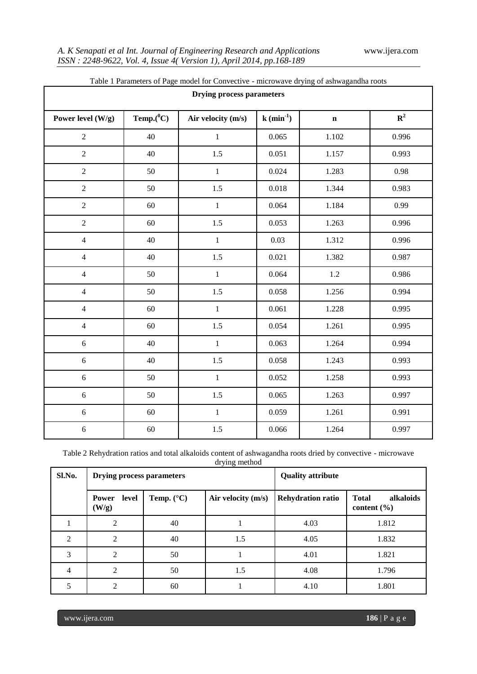| Table 1 I alameters of I age model for Convective - interowave drying of ashwagandia roots<br><b>Drying process parameters</b> |               |                    |                        |             |             |  |  |  |  |
|--------------------------------------------------------------------------------------------------------------------------------|---------------|--------------------|------------------------|-------------|-------------|--|--|--|--|
| Power level (W/g)                                                                                                              | Temp. $(^0C)$ | Air velocity (m/s) | $k \text{ (min}^{-1})$ | $\mathbf n$ | ${\bf R}^2$ |  |  |  |  |
| $\overline{2}$                                                                                                                 | 40            | $\mathbf 1$        | 0.065                  | 1.102       | 0.996       |  |  |  |  |
| $\sqrt{2}$                                                                                                                     | 40            | 1.5                | 0.051                  | 1.157       | 0.993       |  |  |  |  |
| $\overline{2}$                                                                                                                 | 50            | $\mathbf{1}$       | 0.024                  | 1.283       | 0.98        |  |  |  |  |
| $\overline{2}$                                                                                                                 | 50            | 1.5                | 0.018                  | 1.344       | 0.983       |  |  |  |  |
| $\overline{2}$                                                                                                                 | 60            | $1\,$              | 0.064                  | 1.184       | 0.99        |  |  |  |  |
| $\overline{2}$                                                                                                                 | 60            | 1.5                | 0.053                  | 1.263       | 0.996       |  |  |  |  |
| $\overline{4}$                                                                                                                 | 40            | $\mathbf{1}$       | 0.03                   | 1.312       | 0.996       |  |  |  |  |
| $\overline{4}$                                                                                                                 | 40            | 1.5                | 0.021                  | 1.382       | 0.987       |  |  |  |  |
| $\overline{4}$                                                                                                                 | 50            | $\mathbf 1$        | 0.064                  | $1.2\,$     | 0.986       |  |  |  |  |
| $\overline{4}$                                                                                                                 | 50            | 1.5                | 0.058                  | 1.256       | 0.994       |  |  |  |  |
| $\overline{4}$                                                                                                                 | 60            | $\mathbf{1}$       | 0.061                  | 1.228       | 0.995       |  |  |  |  |
| $\overline{4}$                                                                                                                 | 60            | 1.5                | 0.054                  | 1.261       | 0.995       |  |  |  |  |
| 6                                                                                                                              | 40            | $\mathbf{1}$       | 0.063                  | 1.264       | 0.994       |  |  |  |  |
| 6                                                                                                                              | 40            | 1.5                | 0.058                  | 1.243       | 0.993       |  |  |  |  |
| $6\,$                                                                                                                          | 50            | $\,1\,$            | 0.052                  | 1.258       | 0.993       |  |  |  |  |
| $6\,$                                                                                                                          | 50            | 1.5                | 0.065                  | 1.263       | 0.997       |  |  |  |  |
| $6\,$                                                                                                                          | 60            | $1\,$              | 0.059                  | 1.261       | 0.991       |  |  |  |  |
| $\sqrt{6}$                                                                                                                     | 60            | $1.5\,$            | 0.066                  | 1.264       | 0.997       |  |  |  |  |

Table 1 Parameters of Page model for Convective - microwave drying of ashwagandha roots

Table 2 Rehydration ratios and total alkaloids content of ashwagandha roots dried by convective - microwave drying method

| Sl.No.         | <b>Drying process parameters</b> |                     | <b>Quality attribute</b> |                          |                                              |  |  |
|----------------|----------------------------------|---------------------|--------------------------|--------------------------|----------------------------------------------|--|--|
|                | level<br><b>Power</b><br>(W/g)   | Temp. $(^{\circ}C)$ | Air velocity (m/s)       | <b>Rehydration ratio</b> | alkaloids<br><b>Total</b><br>content $(\% )$ |  |  |
|                | $\overline{2}$                   | 40                  |                          | 4.03                     | 1.812                                        |  |  |
| $\mathfrak{D}$ | $\overline{2}$                   | 40                  | 1.5                      | 4.05                     | 1.832                                        |  |  |
| 3              | $\overline{2}$                   | 50                  |                          | 4.01                     | 1.821                                        |  |  |
| 4              | 2                                | 50                  | 1.5                      | 4.08                     | 1.796                                        |  |  |
| 5              | $\mathfrak{D}$                   | 60                  |                          | 4.10                     | 1.801                                        |  |  |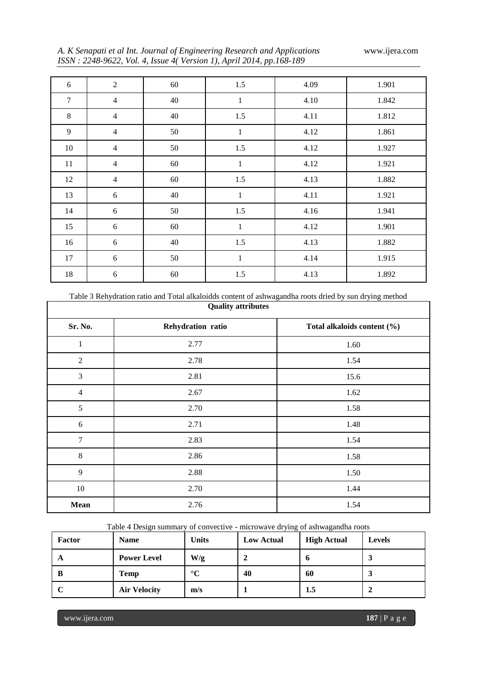|  | A. K Senapati et al Int. Journal of Engineering Research and Applications |  |
|--|---------------------------------------------------------------------------|--|
|  | ISSN: 2248-9622, Vol. 4, Issue 4(Version 1), April 2014, pp.168-189       |  |

*A. K Senapati et al Int. Journal of Engineering Research and Applications* www.ijera.com

| 6      | $\overline{2}$ | 60 | 1.5          | 4.09 | 1.901 |
|--------|----------------|----|--------------|------|-------|
| $\tau$ | $\overline{4}$ | 40 | $\mathbf{1}$ | 4.10 | 1.842 |
| $8\,$  | $\overline{4}$ | 40 | 1.5          | 4.11 | 1.812 |
| 9      | $\overline{4}$ | 50 | $\mathbf{1}$ | 4.12 | 1.861 |
| 10     | $\overline{4}$ | 50 | 1.5          | 4.12 | 1.927 |
| 11     | $\overline{4}$ | 60 | $\mathbf{1}$ | 4.12 | 1.921 |
| 12     | $\overline{4}$ | 60 | $1.5$        | 4.13 | 1.882 |
| 13     | 6              | 40 | $\mathbf{1}$ | 4.11 | 1.921 |
| 14     | 6              | 50 | 1.5          | 4.16 | 1.941 |
| 15     | $\sqrt{6}$     | 60 | $\,1$        | 4.12 | 1.901 |
| 16     | 6              | 40 | $1.5$        | 4.13 | 1.882 |
| 17     | $6\,$          | 50 | $\mathbf{1}$ | 4.14 | 1.915 |
| 18     | $\sqrt{6}$     | 60 | 1.5          | 4.13 | 1.892 |

Table 3 Rehydration ratio and Total alkaloidds content of ashwagandha roots dried by sun drying method

|                | <b>Quality attributes</b> |                             |  |  |  |  |  |  |
|----------------|---------------------------|-----------------------------|--|--|--|--|--|--|
| Sr. No.        | Rehydration ratio         | Total alkaloids content (%) |  |  |  |  |  |  |
| $\mathbf{1}$   | 2.77                      | 1.60                        |  |  |  |  |  |  |
| $\sqrt{2}$     | 2.78                      | 1.54                        |  |  |  |  |  |  |
| $\mathfrak{Z}$ | 2.81                      | 15.6                        |  |  |  |  |  |  |
| $\overline{4}$ | 2.67                      | 1.62                        |  |  |  |  |  |  |
| 5              | 2.70                      | 1.58                        |  |  |  |  |  |  |
| $\sqrt{6}$     | 2.71                      | 1.48                        |  |  |  |  |  |  |
| $\overline{7}$ | 2.83                      | 1.54                        |  |  |  |  |  |  |
| $\,8\,$        | 2.86                      | 1.58                        |  |  |  |  |  |  |
| 9              | 2.88                      | 1.50                        |  |  |  |  |  |  |
| $10\,$         | 2.70                      | 1.44                        |  |  |  |  |  |  |
| <b>Mean</b>    | 2.76                      | 1.54                        |  |  |  |  |  |  |

Table 4 Design summary of convective - microwave drying of ashwagandha roots

| <b>Factor</b> | <b>Name</b>         | Units           | <b>Low Actual</b> | <b>High Actual</b> | Levels |
|---------------|---------------------|-----------------|-------------------|--------------------|--------|
| A             | <b>Power Level</b>  | W/g             |                   |                    | ω.     |
| В             | <b>Temp</b>         | $\rm ^{\circ}C$ | 40                | 60                 | ω.     |
|               | <b>Air Velocity</b> | m/s             |                   | 1.5                |        |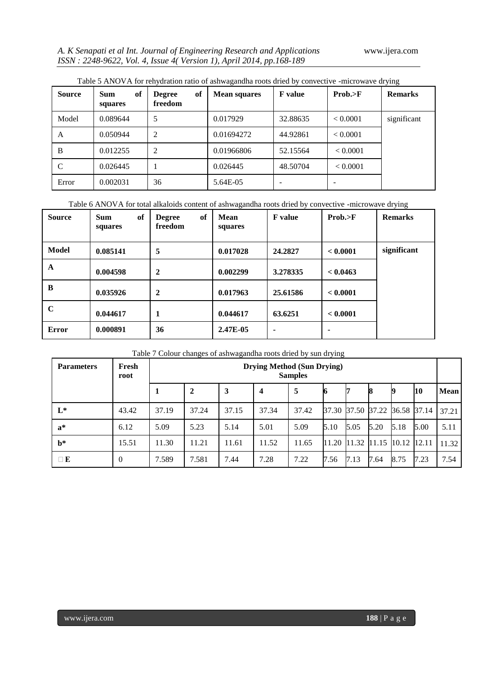| <b>Source</b> | <b>Sum</b><br>of<br>squares | of<br><b>Degree</b><br>freedom | <b>Mean squares</b> | <b>F</b> value | Prob. > F | <b>Remarks</b> |
|---------------|-----------------------------|--------------------------------|---------------------|----------------|-----------|----------------|
| Model         | 0.089644                    | 5                              | 0.017929            | 32.88635       | < 0.0001  | significant    |
| A             | 0.050944                    | $\overline{2}$                 | 0.01694272          | 44.92861       | < 0.0001  |                |
| B             | 0.012255                    | $\overline{2}$                 | 0.01966806          | 52.15564       | < 0.0001  |                |
|               | 0.026445                    |                                | 0.026445            | 48.50704       | < 0.0001  |                |
| Error         | 0.002031                    | 36                             | 5.64E-05            |                |           |                |

Table 5 ANOVA for rehydration ratio of ashwagandha roots dried by convective -microwave drying

Table 6 ANOVA for total alkaloids content of ashwagandha roots dried by convective -microwave drying

| <b>Source</b> | of<br><b>Sum</b><br>squares | of<br><b>Degree</b><br>freedom | Mean<br>squares | <b>F</b> value | Prob. > F | <b>Remarks</b> |
|---------------|-----------------------------|--------------------------------|-----------------|----------------|-----------|----------------|
| Model         | 0.085141                    | 5                              | 0.017028        | 24.2827        | < 0.0001  | significant    |
| A             | 0.004598                    | $\mathbf{2}$                   | 0.002299        | 3.278335       | < 0.0463  |                |
| B             | 0.035926                    | $\mathbf{2}$                   | 0.017963        | 25.61586       | < 0.0001  |                |
| $\mathbf C$   | 0.044617                    | 1                              | 0.044617        | 63.6251        | < 0.0001  |                |
| <b>Error</b>  | 0.000891                    | 36                             | 2.47E-05        | -              | ۰         |                |

Table 7 Colour changes of ashwagandha roots dried by sun drying

| <b>Parameters</b> | Fresh<br>root  | Drying Method (Sun Drying)<br><b>Samples</b> |              |       |       |       |      |      |      |                               |           |       |
|-------------------|----------------|----------------------------------------------|--------------|-------|-------|-------|------|------|------|-------------------------------|-----------|-------|
|                   |                |                                              | $\mathbf{2}$ | 3     | 4     | 5     |      |      | 18   | 19                            | <b>10</b> | Mean  |
| $L^*$             | 43.42          | 37.19                                        | 37.24        | 37.15 | 37.34 | 37.42 |      |      |      | 37.30 37.50 37.22 36.58 37.14 |           | 37.21 |
| $a^*$             | 6.12           | 5.09                                         | 5.23         | 5.14  | 5.01  | 5.09  | 5.10 | 5.05 | 5.20 | 5.18                          | 5.00      | 5.11  |
| $h^*$             | 15.51          | 11.30                                        | 11.21        | 11.61 | 11.52 | 11.65 |      |      |      | 11.20 11.32 11.15 10.12 12.11 |           | 11.32 |
| $\Box$ E          | $\overline{0}$ | 7.589                                        | 7.581        | 7.44  | 7.28  | 7.22  | 7.56 | 7.13 | 7.64 | 8.75                          | 7.23      | 7.54  |